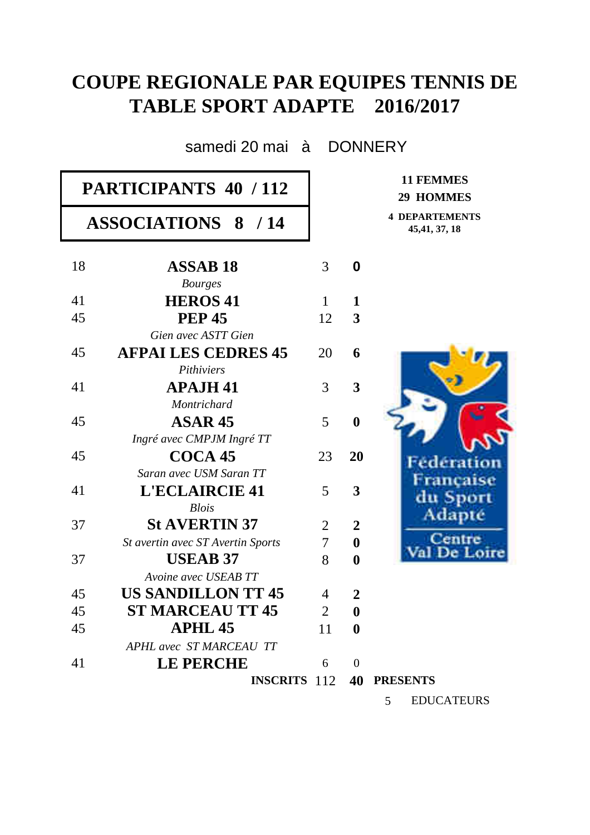## **COUPE REGIONALE PAR EQUIPES TENNIS DE TABLE SPORT ADAPTE 2016/2017**

samedi 20 mai à DONNERY

| PARTICIPANTS 40 / 112 |                                          |                |                  | <b>11 FEMMES</b><br>29 HOMMES           |
|-----------------------|------------------------------------------|----------------|------------------|-----------------------------------------|
|                       | <b>ASSOCIATIONS 8 / 14</b>               |                |                  | <b>4 DEPARTEMENTS</b><br>45, 41, 37, 18 |
| 18                    | <b>ASSAB 18</b><br><b>Bourges</b>        | 3              | $\boldsymbol{0}$ |                                         |
| 41                    | <b>HEROS 41</b>                          | $\mathbf{1}$   | $\mathbf{1}$     |                                         |
| 45                    | <b>PEP 45</b>                            | 12             | 3                |                                         |
|                       | Gien avec ASTT Gien                      |                |                  |                                         |
| 45                    | <b>AFPAI LES CEDRES 45</b><br>Pithiviers | 20             | 6                |                                         |
| 41                    | <b>APAJH 41</b>                          | 3              | 3                |                                         |
|                       | Montrichard                              |                |                  |                                         |
| 45                    | <b>ASAR 45</b>                           | 5              | $\boldsymbol{0}$ |                                         |
|                       | Ingré avec CMPJM Ingré TT                |                |                  |                                         |
| 45                    | COCA <sub>45</sub>                       | 23             | 20               | Fédération                              |
|                       | Saran avec USM Saran TT                  |                |                  | Francaise                               |
| 41                    | <b>L'ECLAIRCIE 41</b>                    | 5              | 3                | du Sport                                |
|                       | <b>Blois</b>                             |                |                  | Adapte                                  |
| 37                    | <b>St AVERTIN 37</b>                     | $\overline{2}$ | $\overline{2}$   |                                         |
|                       | St avertin avec ST Avertin Sports        | $\overline{7}$ | $\boldsymbol{0}$ | lentre<br>De Loire                      |
| 37                    | <b>USEAB 37</b>                          | 8              | $\boldsymbol{0}$ |                                         |
|                       | Avoine avec USEAB TT                     |                |                  |                                         |
| 45                    | <b>US SANDILLON TT 45</b>                | 4              | $\boldsymbol{2}$ |                                         |
| 45                    | <b>ST MARCEAU TT 45</b>                  | $\overline{2}$ | $\boldsymbol{0}$ |                                         |
| 45                    | <b>APHL 45</b>                           | 11             | $\bf{0}$         |                                         |
|                       | <b>APHL</b> avec ST MARCEAU TT           |                |                  |                                         |
| 41                    | <b>LE PERCHE</b>                         | 6              | $\overline{0}$   |                                         |
|                       | <b>INSCRITS</b> 112                      |                |                  | <b>40 PRESENTS</b>                      |
|                       |                                          |                |                  | <b>EDUCATEURS</b><br>5                  |